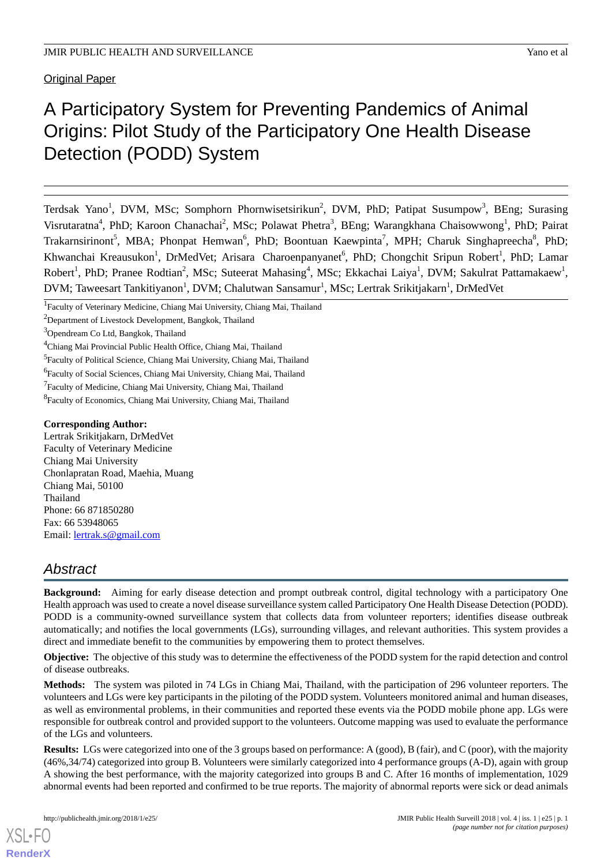Original Paper

# A Participatory System for Preventing Pandemics of Animal Origins: Pilot Study of the Participatory One Health Disease Detection (PODD) System

Terdsak Yano<sup>1</sup>, DVM, MSc; Somphorn Phornwisetsirikun<sup>2</sup>, DVM, PhD; Patipat Susumpow<sup>3</sup>, BEng; Surasing Visrutaratna<sup>4</sup>, PhD; Karoon Chanachai<sup>2</sup>, MSc; Polawat Phetra<sup>3</sup>, BEng; Warangkhana Chaisowwong<sup>1</sup>, PhD; Pairat Trakarnsirinont<sup>5</sup>, MBA; Phonpat Hemwan<sup>6</sup>, PhD; Boontuan Kaewpinta<sup>7</sup>, MPH; Charuk Singhapreecha<sup>8</sup>, PhD; Khwanchai Kreausukon<sup>1</sup>, DrMedVet; Arisara Charoenpanyanet<sup>6</sup>, PhD; Chongchit Sripun Robert<sup>1</sup>, PhD; Lamar Robert<sup>1</sup>, PhD; Pranee Rodtian<sup>2</sup>, MSc; Suteerat Mahasing<sup>4</sup>, MSc; Ekkachai Laiya<sup>1</sup>, DVM; Sakulrat Pattamakaew<sup>1</sup>, DVM; Taweesart Tankitiyanon<sup>1</sup>, DVM; Chalutwan Sansamur<sup>1</sup>, MSc; Lertrak Srikitjakarn<sup>1</sup>, DrMedVet

#### **Corresponding Author:**

Lertrak Srikitjakarn, DrMedVet Faculty of Veterinary Medicine Chiang Mai University Chonlapratan Road, Maehia, Muang Chiang Mai, 50100 Thailand Phone: 66 871850280 Fax: 66 53948065 Email: [lertrak.s@gmail.com](mailto:lertrak.s@gmail.com)

## *Abstract*

**Background:** Aiming for early disease detection and prompt outbreak control, digital technology with a participatory One Health approach was used to create a novel disease surveillance system called Participatory One Health Disease Detection (PODD). PODD is a community-owned surveillance system that collects data from volunteer reporters; identifies disease outbreak automatically; and notifies the local governments (LGs), surrounding villages, and relevant authorities. This system provides a direct and immediate benefit to the communities by empowering them to protect themselves.

**Objective:** The objective of this study was to determine the effectiveness of the PODD system for the rapid detection and control of disease outbreaks.

**Methods:** The system was piloted in 74 LGs in Chiang Mai, Thailand, with the participation of 296 volunteer reporters. The volunteers and LGs were key participants in the piloting of the PODD system. Volunteers monitored animal and human diseases, as well as environmental problems, in their communities and reported these events via the PODD mobile phone app. LGs were responsible for outbreak control and provided support to the volunteers. Outcome mapping was used to evaluate the performance of the LGs and volunteers.

**Results:** LGs were categorized into one of the 3 groups based on performance: A (good), B (fair), and C (poor), with the majority (46%,34/74) categorized into group B. Volunteers were similarly categorized into 4 performance groups (A-D), again with group A showing the best performance, with the majority categorized into groups B and C. After 16 months of implementation, 1029 abnormal events had been reported and confirmed to be true reports. The majority of abnormal reports were sick or dead animals

[XSL](http://www.w3.org/Style/XSL)•FO **[RenderX](http://www.renderx.com/)**

<sup>&</sup>lt;sup>1</sup>Faculty of Veterinary Medicine, Chiang Mai University, Chiang Mai, Thailand

<sup>&</sup>lt;sup>2</sup>Department of Livestock Development, Bangkok, Thailand

<sup>3</sup>Opendream Co Ltd, Bangkok, Thailand

<sup>4</sup>Chiang Mai Provincial Public Health Office, Chiang Mai, Thailand

<sup>&</sup>lt;sup>5</sup>Faculty of Political Science, Chiang Mai University, Chiang Mai, Thailand

<sup>&</sup>lt;sup>6</sup>Faculty of Social Sciences, Chiang Mai University, Chiang Mai, Thailand

<sup>&</sup>lt;sup>7</sup> Faculty of Medicine, Chiang Mai University, Chiang Mai, Thailand

<sup>8</sup> Faculty of Economics, Chiang Mai University, Chiang Mai, Thailand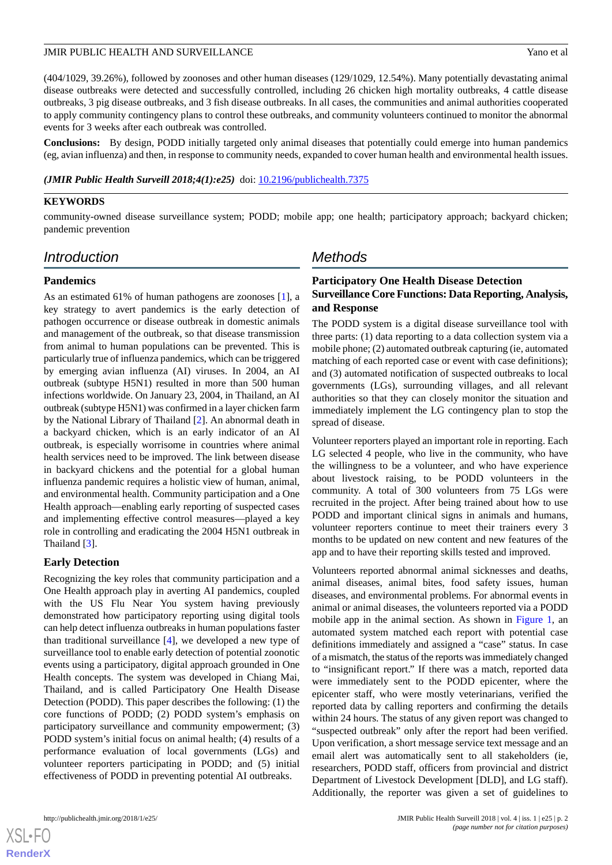(404/1029, 39.26%), followed by zoonoses and other human diseases (129/1029, 12.54%). Many potentially devastating animal disease outbreaks were detected and successfully controlled, including 26 chicken high mortality outbreaks, 4 cattle disease outbreaks, 3 pig disease outbreaks, and 3 fish disease outbreaks. In all cases, the communities and animal authorities cooperated to apply community contingency plans to control these outbreaks, and community volunteers continued to monitor the abnormal events for 3 weeks after each outbreak was controlled.

**Conclusions:** By design, PODD initially targeted only animal diseases that potentially could emerge into human pandemics (eg, avian influenza) and then, in response to community needs, expanded to cover human health and environmental health issues.

*(JMIR Public Health Surveill 2018;4(1):e25)* doi: [10.2196/publichealth.7375](http://dx.doi.org/10.2196/publichealth.7375)

#### **KEYWORDS**

community-owned disease surveillance system; PODD; mobile app; one health; participatory approach; backyard chicken; pandemic prevention

### *Introduction*

#### **Pandemics**

As an estimated 61% of human pathogens are zoonoses [[1](#page-8-0)], a key strategy to avert pandemics is the early detection of pathogen occurrence or disease outbreak in domestic animals and management of the outbreak, so that disease transmission from animal to human populations can be prevented. This is particularly true of influenza pandemics, which can be triggered by emerging avian influenza (AI) viruses. In 2004, an AI outbreak (subtype H5N1) resulted in more than 500 human infections worldwide. On January 23, 2004, in Thailand, an AI outbreak (subtype H5N1) was confirmed in a layer chicken farm by the National Library of Thailand [\[2](#page-8-1)]. An abnormal death in a backyard chicken, which is an early indicator of an AI outbreak, is especially worrisome in countries where animal health services need to be improved. The link between disease in backyard chickens and the potential for a global human influenza pandemic requires a holistic view of human, animal, and environmental health. Community participation and a One Health approach—enabling early reporting of suspected cases and implementing effective control measures—played a key role in controlling and eradicating the 2004 H5N1 outbreak in Thailand [[3\]](#page-8-2).

#### **Early Detection**

Recognizing the key roles that community participation and a One Health approach play in averting AI pandemics, coupled with the US Flu Near You system having previously demonstrated how participatory reporting using digital tools can help detect influenza outbreaks in human populations faster than traditional surveillance [\[4](#page-9-0)], we developed a new type of surveillance tool to enable early detection of potential zoonotic events using a participatory, digital approach grounded in One Health concepts. The system was developed in Chiang Mai, Thailand, and is called Participatory One Health Disease Detection (PODD). This paper describes the following: (1) the core functions of PODD; (2) PODD system's emphasis on participatory surveillance and community empowerment; (3) PODD system's initial focus on animal health; (4) results of a performance evaluation of local governments (LGs) and volunteer reporters participating in PODD; and (5) initial effectiveness of PODD in preventing potential AI outbreaks.

## *Methods*

## **Participatory One Health Disease Detection Surveillance Core Functions: Data Reporting, Analysis, and Response**

The PODD system is a digital disease surveillance tool with three parts: (1) data reporting to a data collection system via a mobile phone; (2) automated outbreak capturing (ie, automated matching of each reported case or event with case definitions); and (3) automated notification of suspected outbreaks to local governments (LGs), surrounding villages, and all relevant authorities so that they can closely monitor the situation and immediately implement the LG contingency plan to stop the spread of disease.

Volunteer reporters played an important role in reporting. Each LG selected 4 people, who live in the community, who have the willingness to be a volunteer, and who have experience about livestock raising, to be PODD volunteers in the community. A total of 300 volunteers from 75 LGs were recruited in the project. After being trained about how to use PODD and important clinical signs in animals and humans, volunteer reporters continue to meet their trainers every 3 months to be updated on new content and new features of the app and to have their reporting skills tested and improved.

Volunteers reported abnormal animal sicknesses and deaths, animal diseases, animal bites, food safety issues, human diseases, and environmental problems. For abnormal events in animal or animal diseases, the volunteers reported via a PODD mobile app in the animal section. As shown in [Figure 1](#page-3-0), an automated system matched each report with potential case definitions immediately and assigned a "case" status. In case of a mismatch, the status of the reports was immediately changed to "insignificant report." If there was a match, reported data were immediately sent to the PODD epicenter, where the epicenter staff, who were mostly veterinarians, verified the reported data by calling reporters and confirming the details within 24 hours. The status of any given report was changed to "suspected outbreak" only after the report had been verified. Upon verification, a short message service text message and an email alert was automatically sent to all stakeholders (ie, researchers, PODD staff, officers from provincial and district Department of Livestock Development [DLD], and LG staff). Additionally, the reporter was given a set of guidelines to

 $XS$  $\cdot$ FC **[RenderX](http://www.renderx.com/)**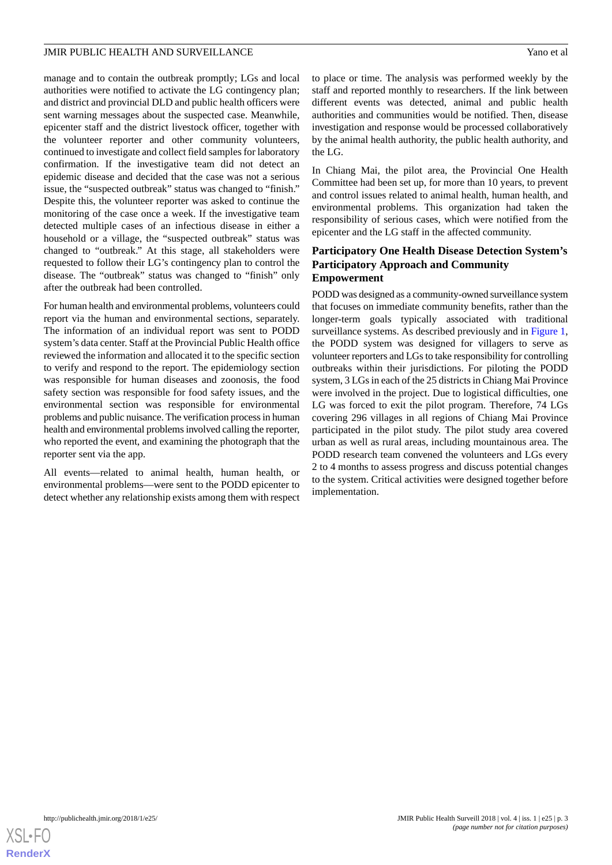manage and to contain the outbreak promptly; LGs and local authorities were notified to activate the LG contingency plan; and district and provincial DLD and public health officers were sent warning messages about the suspected case. Meanwhile, epicenter staff and the district livestock officer, together with the volunteer reporter and other community volunteers, continued to investigate and collect field samples for laboratory confirmation. If the investigative team did not detect an epidemic disease and decided that the case was not a serious issue, the "suspected outbreak" status was changed to "finish." Despite this, the volunteer reporter was asked to continue the monitoring of the case once a week. If the investigative team detected multiple cases of an infectious disease in either a household or a village, the "suspected outbreak" status was changed to "outbreak." At this stage, all stakeholders were requested to follow their LG's contingency plan to control the disease. The "outbreak" status was changed to "finish" only after the outbreak had been controlled.

For human health and environmental problems, volunteers could report via the human and environmental sections, separately. The information of an individual report was sent to PODD system's data center. Staff at the Provincial Public Health office reviewed the information and allocated it to the specific section to verify and respond to the report. The epidemiology section was responsible for human diseases and zoonosis, the food safety section was responsible for food safety issues, and the environmental section was responsible for environmental problems and public nuisance. The verification process in human health and environmental problems involved calling the reporter, who reported the event, and examining the photograph that the reporter sent via the app.

All events—related to animal health, human health, or environmental problems—were sent to the PODD epicenter to detect whether any relationship exists among them with respect

to place or time. The analysis was performed weekly by the staff and reported monthly to researchers. If the link between different events was detected, animal and public health authorities and communities would be notified. Then, disease investigation and response would be processed collaboratively by the animal health authority, the public health authority, and the LG.

In Chiang Mai, the pilot area, the Provincial One Health Committee had been set up, for more than 10 years, to prevent and control issues related to animal health, human health, and environmental problems. This organization had taken the responsibility of serious cases, which were notified from the epicenter and the LG staff in the affected community.

#### **Participatory One Health Disease Detection System's Participatory Approach and Community Empowerment**

PODD was designed as a community-owned surveillance system that focuses on immediate community benefits, rather than the longer-term goals typically associated with traditional surveillance systems. As described previously and in [Figure 1](#page-3-0), the PODD system was designed for villagers to serve as volunteer reporters and LGs to take responsibility for controlling outbreaks within their jurisdictions. For piloting the PODD system, 3 LGs in each of the 25 districts in Chiang Mai Province were involved in the project. Due to logistical difficulties, one LG was forced to exit the pilot program. Therefore, 74 LGs covering 296 villages in all regions of Chiang Mai Province participated in the pilot study. The pilot study area covered urban as well as rural areas, including mountainous area. The PODD research team convened the volunteers and LGs every 2 to 4 months to assess progress and discuss potential changes to the system. Critical activities were designed together before implementation.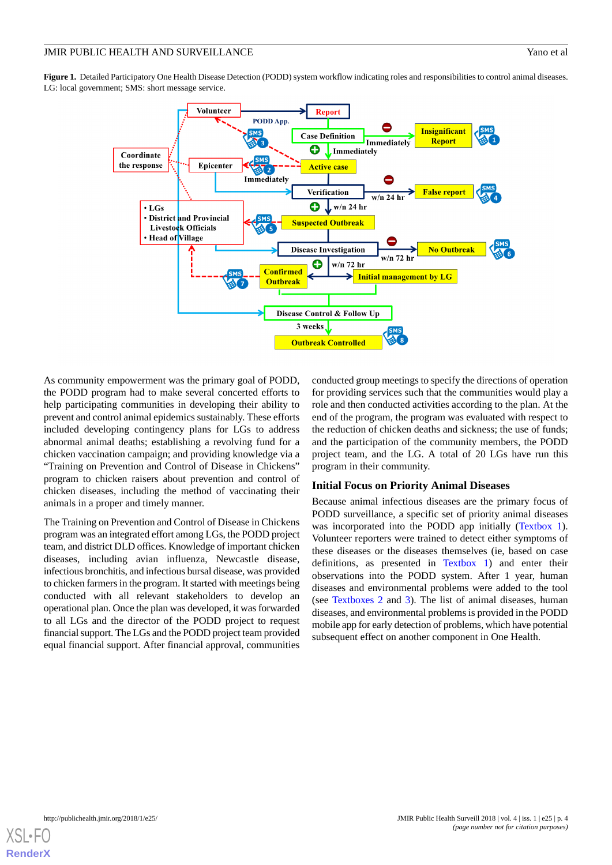<span id="page-3-0"></span>**Figure 1.** Detailed Participatory One Health Disease Detection (PODD) system workflow indicating roles and responsibilities to control animal diseases. LG: local government; SMS: short message service.



As community empowerment was the primary goal of PODD, the PODD program had to make several concerted efforts to help participating communities in developing their ability to prevent and control animal epidemics sustainably. These efforts included developing contingency plans for LGs to address abnormal animal deaths; establishing a revolving fund for a chicken vaccination campaign; and providing knowledge via a "Training on Prevention and Control of Disease in Chickens" program to chicken raisers about prevention and control of chicken diseases, including the method of vaccinating their animals in a proper and timely manner.

The Training on Prevention and Control of Disease in Chickens program was an integrated effort among LGs, the PODD project team, and district DLD offices. Knowledge of important chicken diseases, including avian influenza, Newcastle disease, infectious bronchitis, and infectious bursal disease, was provided to chicken farmers in the program. It started with meetings being conducted with all relevant stakeholders to develop an operational plan. Once the plan was developed, it was forwarded to all LGs and the director of the PODD project to request financial support. The LGs and the PODD project team provided equal financial support. After financial approval, communities

conducted group meetings to specify the directions of operation for providing services such that the communities would play a role and then conducted activities according to the plan. At the end of the program, the program was evaluated with respect to the reduction of chicken deaths and sickness; the use of funds; and the participation of the community members, the PODD project team, and the LG. A total of 20 LGs have run this program in their community.

#### **Initial Focus on Priority Animal Diseases**

Because animal infectious diseases are the primary focus of PODD surveillance, a specific set of priority animal diseases was incorporated into the PODD app initially ([Textbox 1\)](#page-4-0). Volunteer reporters were trained to detect either symptoms of these diseases or the diseases themselves (ie, based on case definitions, as presented in [Textbox 1\)](#page-4-0) and enter their observations into the PODD system. After 1 year, human diseases and environmental problems were added to the tool (see [Textboxes 2](#page-5-0) and [3](#page-6-0)). The list of animal diseases, human diseases, and environmental problems is provided in the PODD mobile app for early detection of problems, which have potential subsequent effect on another component in One Health.

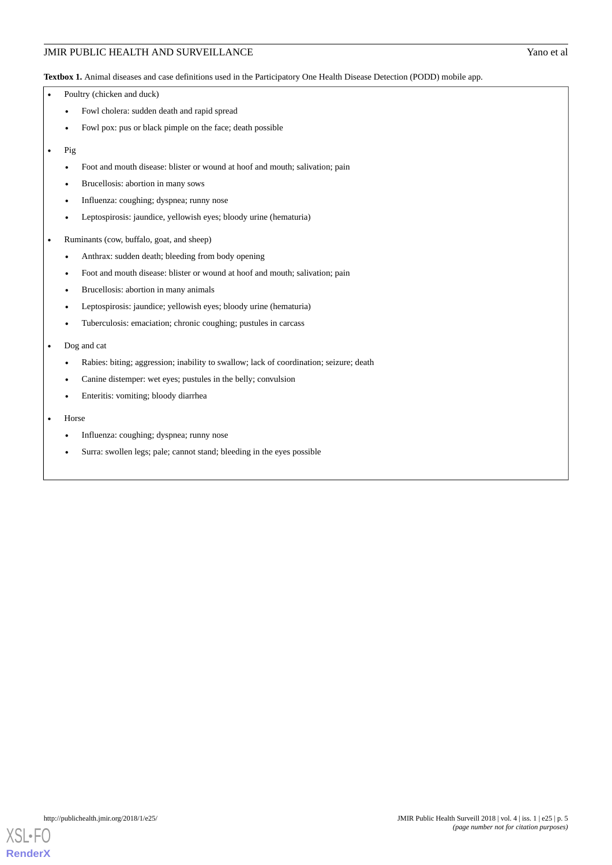#### JMIR PUBLIC HEALTH AND SURVEILLANCE Yano et al

<span id="page-4-0"></span>**Textbox 1.** Animal diseases and case definitions used in the Participatory One Health Disease Detection (PODD) mobile app.

- Poultry (chicken and duck)
	- Fowl cholera: sudden death and rapid spread
	- Fowl pox: pus or black pimple on the face; death possible
- Pig
	- Foot and mouth disease: blister or wound at hoof and mouth; salivation; pain
	- Brucellosis: abortion in many sows
	- Influenza: coughing; dyspnea; runny nose
	- Leptospirosis: jaundice, yellowish eyes; bloody urine (hematuria)
- Ruminants (cow, buffalo, goat, and sheep)
	- Anthrax: sudden death; bleeding from body opening
	- Foot and mouth disease: blister or wound at hoof and mouth; salivation; pain
	- Brucellosis: abortion in many animals
	- Leptospirosis: jaundice; yellowish eyes; bloody urine (hematuria)
	- Tuberculosis: emaciation; chronic coughing; pustules in carcass
- Dog and cat
	- Rabies: biting; aggression; inability to swallow; lack of coordination; seizure; death
	- Canine distemper: wet eyes; pustules in the belly; convulsion
	- Enteritis: vomiting; bloody diarrhea
- Horse
	- Influenza: coughing; dyspnea; runny nose
	- Surra: swollen legs; pale; cannot stand; bleeding in the eyes possible

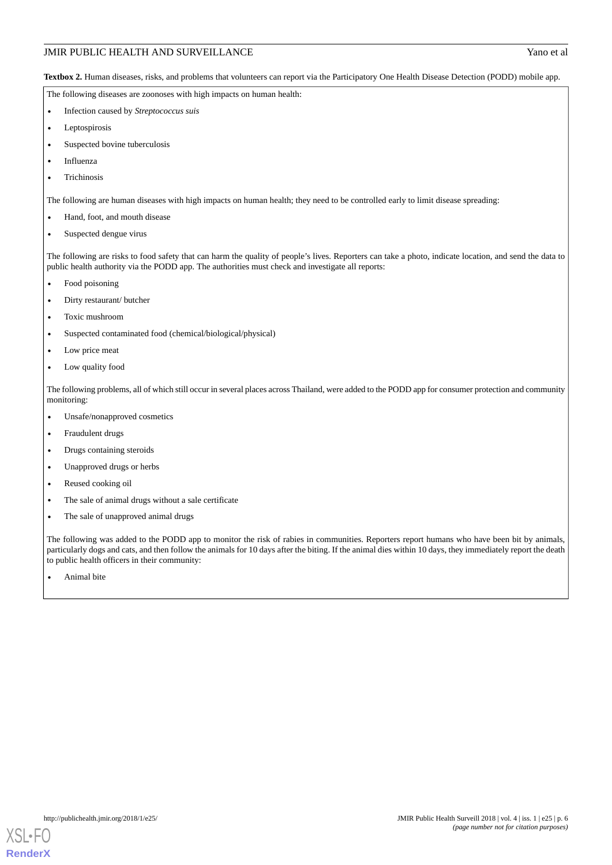#### JMIR PUBLIC HEALTH AND SURVEILLANCE Yano et al

<span id="page-5-0"></span>**Textbox 2.** Human diseases, risks, and problems that volunteers can report via the Participatory One Health Disease Detection (PODD) mobile app.

The following diseases are zoonoses with high impacts on human health:

- Infection caused by *Streptococcus suis*
- Leptospirosis
- Suspected bovine tuberculosis
- **Influenza**
- **Trichinosis**

The following are human diseases with high impacts on human health; they need to be controlled early to limit disease spreading:

- Hand, foot, and mouth disease
- Suspected dengue virus

The following are risks to food safety that can harm the quality of people's lives. Reporters can take a photo, indicate location, and send the data to public health authority via the PODD app. The authorities must check and investigate all reports:

- Food poisoning
- Dirty restaurant/ butcher
- Toxic mushroom
- Suspected contaminated food (chemical/biological/physical)
- Low price meat
- Low quality food

The following problems, all of which still occur in several places across Thailand, were added to the PODD app for consumer protection and community monitoring:

- Unsafe/nonapproved cosmetics
- Fraudulent drugs
- Drugs containing steroids
- Unapproved drugs or herbs
- Reused cooking oil
- The sale of animal drugs without a sale certificate
- The sale of unapproved animal drugs

The following was added to the PODD app to monitor the risk of rabies in communities. Reporters report humans who have been bit by animals, particularly dogs and cats, and then follow the animals for 10 days after the biting. If the animal dies within 10 days, they immediately report the death to public health officers in their community:

Animal bite

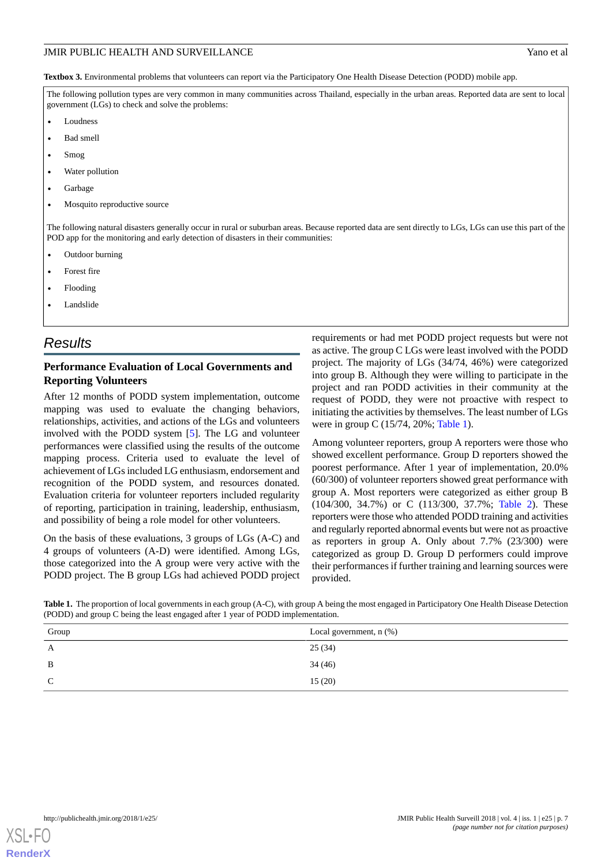<span id="page-6-0"></span>**Textbox 3.** Environmental problems that volunteers can report via the Participatory One Health Disease Detection (PODD) mobile app.

The following pollution types are very common in many communities across Thailand, especially in the urban areas. Reported data are sent to local government (LGs) to check and solve the problems:

- Loudness
- Bad smell
- Smog
- Water pollution
- Garbage
- Mosquito reproductive source

The following natural disasters generally occur in rural or suburban areas. Because reported data are sent directly to LGs, LGs can use this part of the POD app for the monitoring and early detection of disasters in their communities:

- Outdoor burning
- Forest fire
- Flooding
- Landslide

## *Results*

### **Performance Evaluation of Local Governments and Reporting Volunteers**

After 12 months of PODD system implementation, outcome mapping was used to evaluate the changing behaviors, relationships, activities, and actions of the LGs and volunteers involved with the PODD system [\[5](#page-9-1)]. The LG and volunteer performances were classified using the results of the outcome mapping process. Criteria used to evaluate the level of achievement of LGs included LG enthusiasm, endorsement and recognition of the PODD system, and resources donated. Evaluation criteria for volunteer reporters included regularity of reporting, participation in training, leadership, enthusiasm, and possibility of being a role model for other volunteers.

<span id="page-6-1"></span>On the basis of these evaluations, 3 groups of LGs (A-C) and 4 groups of volunteers (A-D) were identified. Among LGs, those categorized into the A group were very active with the PODD project. The B group LGs had achieved PODD project requirements or had met PODD project requests but were not as active. The group C LGs were least involved with the PODD project. The majority of LGs (34/74, 46%) were categorized into group B. Although they were willing to participate in the project and ran PODD activities in their community at the request of PODD, they were not proactive with respect to initiating the activities by themselves. The least number of LGs were in group C (15/74, 20%; [Table 1](#page-6-1)).

Among volunteer reporters, group A reporters were those who showed excellent performance. Group D reporters showed the poorest performance. After 1 year of implementation, 20.0% (60/300) of volunteer reporters showed great performance with group A. Most reporters were categorized as either group B (104/300, 34.7%) or C (113/300, 37.7%; [Table 2\)](#page-7-0). These reporters were those who attended PODD training and activities and regularly reported abnormal events but were not as proactive as reporters in group A. Only about 7.7% (23/300) were categorized as group D. Group D performers could improve their performances if further training and learning sources were provided.

Table 1. The proportion of local governments in each group (A-C), with group A being the most engaged in Participatory One Health Disease Detection (PODD) and group C being the least engaged after 1 year of PODD implementation.

| Group | Local government, $n$ $%$ ) |
|-------|-----------------------------|
| A     | 25(34)                      |
| B     | 34(46)                      |
| C     | 15(20)                      |
|       |                             |

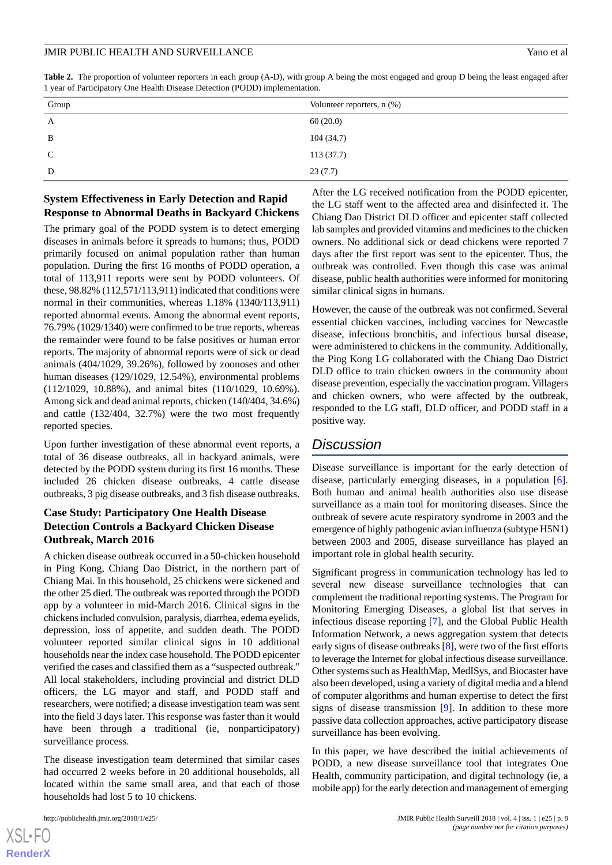<span id="page-7-0"></span>

| Table 2. The proportion of volunteer reporters in each group (A-D), with group A being the most engaged and group D being the least engaged after |  |  |  |  |  |
|---------------------------------------------------------------------------------------------------------------------------------------------------|--|--|--|--|--|
| 1 year of Participatory One Health Disease Detection (PODD) implementation.                                                                       |  |  |  |  |  |

| Group       | Volunteer reporters, $n$ $(\%)$ |
|-------------|---------------------------------|
| A           | 60(20.0)                        |
| B           | 104(34.7)                       |
| $\mathbf C$ | 113(37.7)                       |
| D           | 23(7.7)                         |

#### **System Effectiveness in Early Detection and Rapid Response to Abnormal Deaths in Backyard Chickens**

The primary goal of the PODD system is to detect emerging diseases in animals before it spreads to humans; thus, PODD primarily focused on animal population rather than human population. During the first 16 months of PODD operation, a total of 113,911 reports were sent by PODD volunteers. Of these, 98.82% (112,571/113,911) indicated that conditions were normal in their communities, whereas 1.18% (1340/113,911) reported abnormal events. Among the abnormal event reports, 76.79% (1029/1340) were confirmed to be true reports, whereas the remainder were found to be false positives or human error reports. The majority of abnormal reports were of sick or dead animals (404/1029, 39.26%), followed by zoonoses and other human diseases (129/1029, 12.54%), environmental problems (112/1029, 10.88%), and animal bites (110/1029, 10.69%). Among sick and dead animal reports, chicken (140/404, 34.6%) and cattle (132/404, 32.7%) were the two most frequently reported species.

Upon further investigation of these abnormal event reports, a total of 36 disease outbreaks, all in backyard animals, were detected by the PODD system during its first 16 months. These included 26 chicken disease outbreaks, 4 cattle disease outbreaks, 3 pig disease outbreaks, and 3 fish disease outbreaks.

#### **Case Study: Participatory One Health Disease Detection Controls a Backyard Chicken Disease Outbreak, March 2016**

A chicken disease outbreak occurred in a 50-chicken household in Ping Kong, Chiang Dao District, in the northern part of Chiang Mai. In this household, 25 chickens were sickened and the other 25 died. The outbreak was reported through the PODD app by a volunteer in mid-March 2016. Clinical signs in the chickens included convulsion, paralysis, diarrhea, edema eyelids, depression, loss of appetite, and sudden death. The PODD volunteer reported similar clinical signs in 10 additional households near the index case household. The PODD epicenter verified the cases and classified them as a "suspected outbreak." All local stakeholders, including provincial and district DLD officers, the LG mayor and staff, and PODD staff and researchers, were notified; a disease investigation team was sent into the field 3 days later. This response was faster than it would have been through a traditional (ie, nonparticipatory) surveillance process.

The disease investigation team determined that similar cases had occurred 2 weeks before in 20 additional households, all located within the same small area, and that each of those households had lost 5 to 10 chickens.

After the LG received notification from the PODD epicenter, the LG staff went to the affected area and disinfected it. The Chiang Dao District DLD officer and epicenter staff collected lab samples and provided vitamins and medicines to the chicken owners. No additional sick or dead chickens were reported 7 days after the first report was sent to the epicenter. Thus, the outbreak was controlled. Even though this case was animal disease, public health authorities were informed for monitoring similar clinical signs in humans.

However, the cause of the outbreak was not confirmed. Several essential chicken vaccines, including vaccines for Newcastle disease, infectious bronchitis, and infectious bursal disease, were administered to chickens in the community. Additionally, the Ping Kong LG collaborated with the Chiang Dao District DLD office to train chicken owners in the community about disease prevention, especially the vaccination program. Villagers and chicken owners, who were affected by the outbreak, responded to the LG staff, DLD officer, and PODD staff in a positive way.

## *Discussion*

Disease surveillance is important for the early detection of disease, particularly emerging diseases, in a population [[6\]](#page-9-2). Both human and animal health authorities also use disease surveillance as a main tool for monitoring diseases. Since the outbreak of severe acute respiratory syndrome in 2003 and the emergence of highly pathogenic avian influenza (subtype H5N1) between 2003 and 2005, disease surveillance has played an important role in global health security.

Significant progress in communication technology has led to several new disease surveillance technologies that can complement the traditional reporting systems. The Program for Monitoring Emerging Diseases, a global list that serves in infectious disease reporting [[7\]](#page-9-3), and the Global Public Health Information Network, a news aggregation system that detects early signs of disease outbreaks [[8](#page-9-4)], were two of the first efforts to leverage the Internet for global infectious disease surveillance. Other systems such as HealthMap, MedISys, and Biocaster have also been developed, using a variety of digital media and a blend of computer algorithms and human expertise to detect the first signs of disease transmission [[9\]](#page-9-5). In addition to these more passive data collection approaches, active participatory disease surveillance has been evolving.

In this paper, we have described the initial achievements of PODD, a new disease surveillance tool that integrates One Health, community participation, and digital technology (ie, a mobile app) for the early detection and management of emerging

```
XS-FO
RenderX
```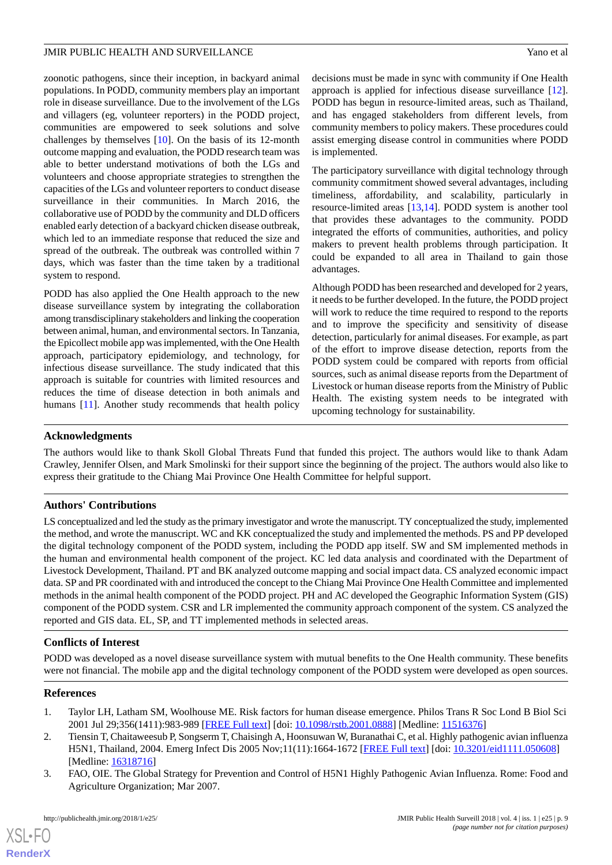zoonotic pathogens, since their inception, in backyard animal populations. In PODD, community members play an important role in disease surveillance. Due to the involvement of the LGs and villagers (eg, volunteer reporters) in the PODD project, communities are empowered to seek solutions and solve challenges by themselves [\[10](#page-9-6)]. On the basis of its 12-month outcome mapping and evaluation, the PODD research team was able to better understand motivations of both the LGs and volunteers and choose appropriate strategies to strengthen the capacities of the LGs and volunteer reporters to conduct disease surveillance in their communities. In March 2016, the collaborative use of PODD by the community and DLD officers enabled early detection of a backyard chicken disease outbreak, which led to an immediate response that reduced the size and spread of the outbreak. The outbreak was controlled within 7 days, which was faster than the time taken by a traditional system to respond.

PODD has also applied the One Health approach to the new disease surveillance system by integrating the collaboration among transdisciplinary stakeholders and linking the cooperation between animal, human, and environmental sectors. In Tanzania, the Epicollect mobile app was implemented, with the One Health approach, participatory epidemiology, and technology, for infectious disease surveillance. The study indicated that this approach is suitable for countries with limited resources and reduces the time of disease detection in both animals and humans [\[11](#page-9-7)]. Another study recommends that health policy

decisions must be made in sync with community if One Health approach is applied for infectious disease surveillance [[12\]](#page-9-8). PODD has begun in resource-limited areas, such as Thailand, and has engaged stakeholders from different levels, from community members to policy makers. These procedures could assist emerging disease control in communities where PODD is implemented.

The participatory surveillance with digital technology through community commitment showed several advantages, including timeliness, affordability, and scalability, particularly in resource-limited areas [[13](#page-9-9)[,14](#page-9-10)]. PODD system is another tool that provides these advantages to the community. PODD integrated the efforts of communities, authorities, and policy makers to prevent health problems through participation. It could be expanded to all area in Thailand to gain those advantages.

Although PODD has been researched and developed for 2 years, it needs to be further developed. In the future, the PODD project will work to reduce the time required to respond to the reports and to improve the specificity and sensitivity of disease detection, particularly for animal diseases. For example, as part of the effort to improve disease detection, reports from the PODD system could be compared with reports from official sources, such as animal disease reports from the Department of Livestock or human disease reports from the Ministry of Public Health. The existing system needs to be integrated with upcoming technology for sustainability.

#### **Acknowledgments**

The authors would like to thank Skoll Global Threats Fund that funded this project. The authors would like to thank Adam Crawley, Jennifer Olsen, and Mark Smolinski for their support since the beginning of the project. The authors would also like to express their gratitude to the Chiang Mai Province One Health Committee for helpful support.

#### **Authors' Contributions**

LS conceptualized and led the study as the primary investigator and wrote the manuscript. TY conceptualized the study, implemented the method, and wrote the manuscript. WC and KK conceptualized the study and implemented the methods. PS and PP developed the digital technology component of the PODD system, including the PODD app itself. SW and SM implemented methods in the human and environmental health component of the project. KC led data analysis and coordinated with the Department of Livestock Development, Thailand. PT and BK analyzed outcome mapping and social impact data. CS analyzed economic impact data. SP and PR coordinated with and introduced the concept to the Chiang Mai Province One Health Committee and implemented methods in the animal health component of the PODD project. PH and AC developed the Geographic Information System (GIS) component of the PODD system. CSR and LR implemented the community approach component of the system. CS analyzed the reported and GIS data. EL, SP, and TT implemented methods in selected areas.

#### <span id="page-8-0"></span>**Conflicts of Interest**

<span id="page-8-1"></span>PODD was developed as a novel disease surveillance system with mutual benefits to the One Health community. These benefits were not financial. The mobile app and the digital technology component of the PODD system were developed as open sources.

#### <span id="page-8-2"></span>**References**

 $XS$  • FO **[RenderX](http://www.renderx.com/)**

- 1. Taylor LH, Latham SM, Woolhouse ME. Risk factors for human disease emergence. Philos Trans R Soc Lond B Biol Sci 2001 Jul 29;356(1411):983-989 [[FREE Full text\]](http://rstb.royalsocietypublishing.org/cgi/pmidlookup?view=long&pmid=11516376) [doi: [10.1098/rstb.2001.0888](http://dx.doi.org/10.1098/rstb.2001.0888)] [Medline: [11516376\]](http://www.ncbi.nlm.nih.gov/entrez/query.fcgi?cmd=Retrieve&db=PubMed&list_uids=11516376&dopt=Abstract)
- 2. Tiensin T, Chaitaweesub P, Songserm T, Chaisingh A, Hoonsuwan W, Buranathai C, et al. Highly pathogenic avian influenza H5N1, Thailand, 2004. Emerg Infect Dis 2005 Nov;11(11):1664-1672 [[FREE Full text](https://wwwnc.cdc.gov/eid/article/11/11/05-0608_article.htm)] [doi: [10.3201/eid1111.050608](http://dx.doi.org/10.3201/eid1111.050608)] [Medline: [16318716](http://www.ncbi.nlm.nih.gov/entrez/query.fcgi?cmd=Retrieve&db=PubMed&list_uids=16318716&dopt=Abstract)]
- 3. FAO, OIE. The Global Strategy for Prevention and Control of H5N1 Highly Pathogenic Avian Influenza. Rome: Food and Agriculture Organization; Mar 2007.